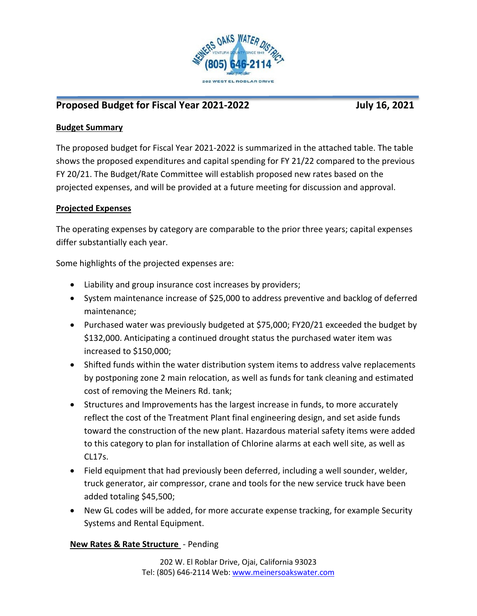

# Proposed Budget for Fiscal Year 2021-2022 **July 16, 2021**

## **Budget Summary**

The proposed budget for Fiscal Year 2021-2022 is summarized in the attached table. The table shows the proposed expenditures and capital spending for FY 21/22 compared to the previous FY 20/21. The Budget/Rate Committee will establish proposed new rates based on the projected expenses, and will be provided at a future meeting for discussion and approval.

## **Projected Expenses**

The operating expenses by category are comparable to the prior three years; capital expenses differ substantially each year.

Some highlights of the projected expenses are:

- Liability and group insurance cost increases by providers;
- System maintenance increase of \$25,000 to address preventive and backlog of deferred maintenance;
- Purchased water was previously budgeted at \$75,000; FY20/21 exceeded the budget by \$132,000. Anticipating a continued drought status the purchased water item was increased to \$150,000;
- Shifted funds within the water distribution system items to address valve replacements by postponing zone 2 main relocation, as well as funds for tank cleaning and estimated cost of removing the Meiners Rd. tank;
- Structures and Improvements has the largest increase in funds, to more accurately reflect the cost of the Treatment Plant final engineering design, and set aside funds toward the construction of the new plant. Hazardous material safety items were added to this category to plan for installation of Chlorine alarms at each well site, as well as CL17s.
- Field equipment that had previously been deferred, including a well sounder, welder, truck generator, air compressor, crane and tools for the new service truck have been added totaling \$45,500;
- New GL codes will be added, for more accurate expense tracking, for example Security Systems and Rental Equipment.

## **New Rates & Rate Structure** - Pending

202 W. El Roblar Drive, Ojai, California 93023 Tel: (805) 646-2114 Web[: www.meinersoakswater.com](http://www.meinersoakswater.com/)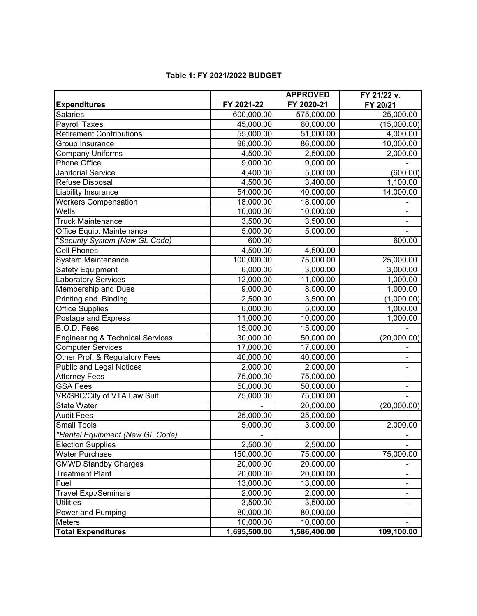|                                             |                       | <b>APPROVED</b> | FY 21/22 v. |
|---------------------------------------------|-----------------------|-----------------|-------------|
| <b>Expenditures</b>                         | FY 2021-22            | FY 2020-21      | FY 20/21    |
| <b>Salaries</b>                             | 600,000.00            | 575,000.00      | 25,000.00   |
| <b>Payroll Taxes</b>                        | 45,000.00             | 60,000.00       | (15,000.00) |
| <b>Retirement Contributions</b>             | 55,000.00             | 51,000.00       | 4,000.00    |
| Group Insurance                             | 96,000.00             | 86,000.00       | 10,000.00   |
| <b>Company Uniforms</b>                     | 4,500.00              | 2,500.00        | 2,000.00    |
| Phone Office                                | 9,000.00              | 9,000.00        |             |
| <b>Janitorial Service</b>                   | 4,400.00              | 5,000.00        | (600.00)    |
| Refuse Disposal                             | 4,500.00              | 3,400.00        | 1,100.00    |
| Liability Insurance                         | 54,000.00             | 40,000.00       | 14,000.00   |
| <b>Workers Compensation</b>                 | 18,000.00             | 18,000.00       |             |
| Wells                                       | 10,000.00             | 10,000.00       |             |
| <b>Truck Maintenance</b>                    | 3,500.00              | 3,500.00        |             |
| Office Equip. Maintenance                   | 5,000.00              | 5,000.00        |             |
| *Security System (New GL Code)              | 600.00                |                 | 600.00      |
| <b>Cell Phones</b>                          | 4,500.00              | 4,500.00        |             |
| System Maintenance                          | 100,000.00            | 75,000.00       | 25,000.00   |
| Safety Equipment                            | 6,000.00              | 3,000.00        | 3,000.00    |
| <b>Laboratory Services</b>                  | 12,000.00             | 11,000.00       | 1,000.00    |
| <b>Membership and Dues</b>                  | 9,000.00              | 8,000.00        | 1,000.00    |
| Printing and Binding                        | 2,500.00              | 3,500.00        | (1,000.00)  |
| <b>Office Supplies</b>                      | 6,000.00              | 5,000.00        | 1,000.00    |
| Postage and Express                         | 11,000.00             | 10,000.00       | 1,000.00    |
| B.O.D. Fees                                 | 15,000.00             | 15,000.00       |             |
| <b>Engineering &amp; Technical Services</b> | 30,000.00             | 50,000.00       | (20,000.00) |
| <b>Computer Services</b>                    | 17,000.00             | 17,000.00       |             |
| Other Prof. & Regulatory Fees               | 40,000.00             | 40,000.00       |             |
| <b>Public and Legal Notices</b>             | 2,000.00              | 2,000.00        |             |
| <b>Attorney Fees</b>                        | 75,000.00             | 75,000.00       |             |
| <b>GSA Fees</b>                             | 50,000.00             | 50,000.00       |             |
| VR/SBC/City of VTA Law Suit                 | 75,000.00             | 75,000.00       |             |
| State Water                                 |                       | 20,000.00       | (20,000.00) |
| <b>Audit Fees</b>                           | 25,000.00             | 25,000.00       |             |
| <b>Small Tools</b>                          | $\overline{5,000.00}$ | 3,000.00        | 2,000.00    |
| *Rental Equipment (New GL Code)             |                       |                 |             |
| <b>Election Supplies</b>                    | 2,500.00              | 2,500.00        |             |
| <b>Water Purchase</b>                       | 150,000.00            | 75,000.00       | 75,000.00   |
| <b>CMWD Standby Charges</b>                 | 20,000.00             | 20,000.00       |             |
| <b>Treatment Plant</b>                      | 20,000.00             | 20,000.00       |             |
| Fuel                                        | 13,000.00             | 13,000.00       |             |
| <b>Travel Exp./Seminars</b>                 | 2,000.00              | 2,000.00        |             |
| <b>Utilities</b>                            | 3,500.00              | 3,500.00        |             |
| Power and Pumping                           | 80,000.00             | 80,000.00       |             |
| Meters                                      | 10,000.00             | 10,000.00       |             |
| <b>Total Expenditures</b>                   | 1,695,500.00          | 1,586,400.00    | 109,100.00  |

### **Table 1: FY 2021/2022 BUDGET**